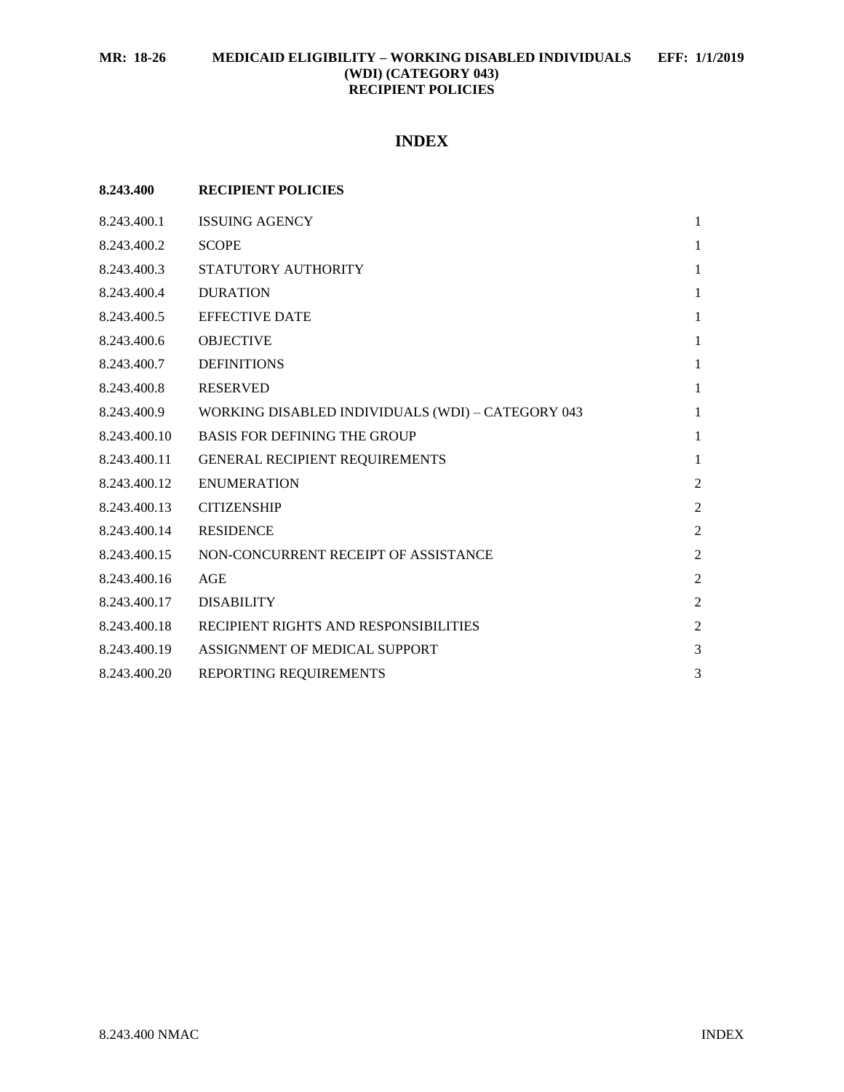# **INDEX**

| 8.243.400    | <b>RECIPIENT POLICIES</b>                         |                |
|--------------|---------------------------------------------------|----------------|
| 8.243.400.1  | <b>ISSUING AGENCY</b>                             | $\mathbf{1}$   |
| 8.243.400.2  | <b>SCOPE</b>                                      | 1              |
| 8.243.400.3  | STATUTORY AUTHORITY                               | 1              |
| 8.243.400.4  | <b>DURATION</b>                                   | 1              |
| 8.243.400.5  | <b>EFFECTIVE DATE</b>                             | $\mathbf{1}$   |
| 8.243.400.6  | <b>OBJECTIVE</b>                                  | $\mathbf{1}$   |
| 8.243.400.7  | <b>DEFINITIONS</b>                                | 1              |
| 8.243.400.8  | <b>RESERVED</b>                                   | 1              |
| 8.243.400.9  | WORKING DISABLED INDIVIDUALS (WDI) - CATEGORY 043 | $\mathbf{1}$   |
| 8.243.400.10 | <b>BASIS FOR DEFINING THE GROUP</b>               | 1              |
| 8.243.400.11 | <b>GENERAL RECIPIENT REQUIREMENTS</b>             | $\mathbf{1}$   |
| 8.243.400.12 | <b>ENUMERATION</b>                                | $\overline{2}$ |
| 8.243.400.13 | <b>CITIZENSHIP</b>                                | $\overline{2}$ |
| 8.243.400.14 | <b>RESIDENCE</b>                                  | $\overline{c}$ |
| 8.243.400.15 | NON-CONCURRENT RECEIPT OF ASSISTANCE              | $\overline{c}$ |
| 8.243.400.16 | AGE                                               | $\overline{2}$ |
| 8.243.400.17 | <b>DISABILITY</b>                                 | $\overline{2}$ |
| 8.243.400.18 | RECIPIENT RIGHTS AND RESPONSIBILITIES             | $\overline{2}$ |
| 8.243.400.19 | ASSIGNMENT OF MEDICAL SUPPORT                     | 3              |
| 8.243.400.20 | REPORTING REQUIREMENTS                            | 3              |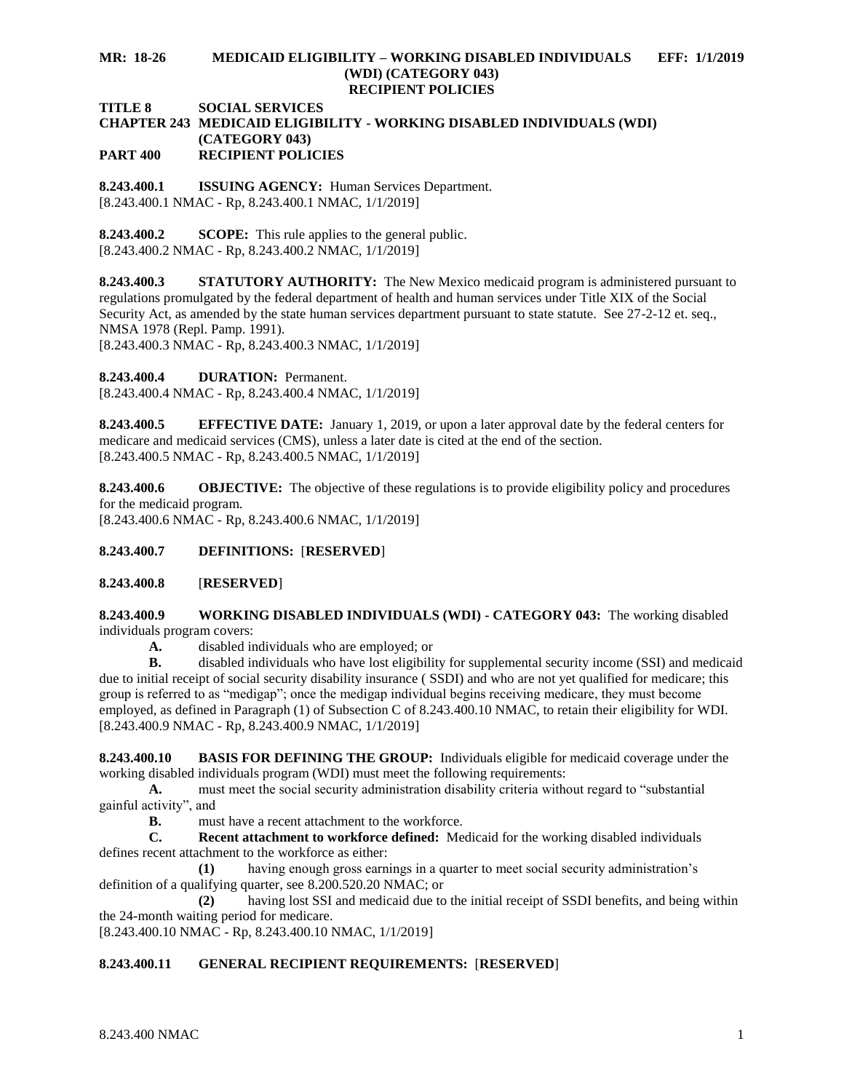### **MR: 18-26 MEDICAID ELIGIBILITY – WORKING DISABLED INDIVIDUALS EFF: 1/1/2019 (WDI) (CATEGORY 043) RECIPIENT POLICIES**

**TITLE 8 SOCIAL SERVICES**

#### **CHAPTER 243 MEDICAID ELIGIBILITY - WORKING DISABLED INDIVIDUALS (WDI) (CATEGORY 043) PART 400 RECIPIENT POLICIES**

<span id="page-1-0"></span>**8.243.400.1 ISSUING AGENCY:** Human Services Department. [8.243.400.1 NMAC - Rp, 8.243.400.1 NMAC, 1/1/2019]

<span id="page-1-1"></span>**8.243.400.2 SCOPE:** This rule applies to the general public. [8.243.400.2 NMAC - Rp, 8.243.400.2 NMAC, 1/1/2019]

<span id="page-1-2"></span>**8.243.400.3 STATUTORY AUTHORITY:** The New Mexico medicaid program is administered pursuant to regulations promulgated by the federal department of health and human services under Title XIX of the Social Security Act, as amended by the state human services department pursuant to state statute. See 27-2-12 et. seq., NMSA 1978 (Repl. Pamp. 1991).

[8.243.400.3 NMAC - Rp, 8.243.400.3 NMAC, 1/1/2019]

<span id="page-1-3"></span>**8.243.400.4 DURATION:** Permanent.

[8.243.400.4 NMAC - Rp, 8.243.400.4 NMAC, 1/1/2019]

<span id="page-1-4"></span>**8.243.400.5 EFFECTIVE DATE:** January 1, 2019, or upon a later approval date by the federal centers for medicare and medicaid services (CMS), unless a later date is cited at the end of the section. [8.243.400.5 NMAC - Rp, 8.243.400.5 NMAC, 1/1/2019]

<span id="page-1-5"></span>**8.243.400.6 OBJECTIVE:** The objective of these regulations is to provide eligibility policy and procedures for the medicaid program. [8.243.400.6 NMAC - Rp, 8.243.400.6 NMAC, 1/1/2019]

<span id="page-1-6"></span>**8.243.400.7 DEFINITIONS:** [**RESERVED**]

## <span id="page-1-7"></span>**8.243.400.8** [**RESERVED**]

<span id="page-1-8"></span>**8.243.400.9 WORKING DISABLED INDIVIDUALS (WDI) - CATEGORY 043:** The working disabled individuals program covers:

**A.** disabled individuals who are employed; or

**B.** disabled individuals who have lost eligibility for supplemental security income (SSI) and medicaid due to initial receipt of social security disability insurance ( SSDI) and who are not yet qualified for medicare; this group is referred to as "medigap"; once the medigap individual begins receiving medicare, they must become employed, as defined in Paragraph (1) of Subsection C of 8.243.400.10 NMAC, to retain their eligibility for WDI. [8.243.400.9 NMAC - Rp, 8.243.400.9 NMAC, 1/1/2019]

<span id="page-1-9"></span>**8.243.400.10 BASIS FOR DEFINING THE GROUP:** Individuals eligible for medicaid coverage under the working disabled individuals program (WDI) must meet the following requirements:

**A.** must meet the social security administration disability criteria without regard to "substantial gainful activity", and

**B.** must have a recent attachment to the workforce.

**C. Recent attachment to workforce defined:** Medicaid for the working disabled individuals defines recent attachment to the workforce as either:

**(1)** having enough gross earnings in a quarter to meet social security administration's definition of a qualifying quarter, see 8.200.520.20 NMAC; or

**(2)** having lost SSI and medicaid due to the initial receipt of SSDI benefits, and being within the 24-month waiting period for medicare.

[8.243.400.10 NMAC - Rp, 8.243.400.10 NMAC, 1/1/2019]

## <span id="page-1-10"></span>**8.243.400.11 GENERAL RECIPIENT REQUIREMENTS:** [**RESERVED**]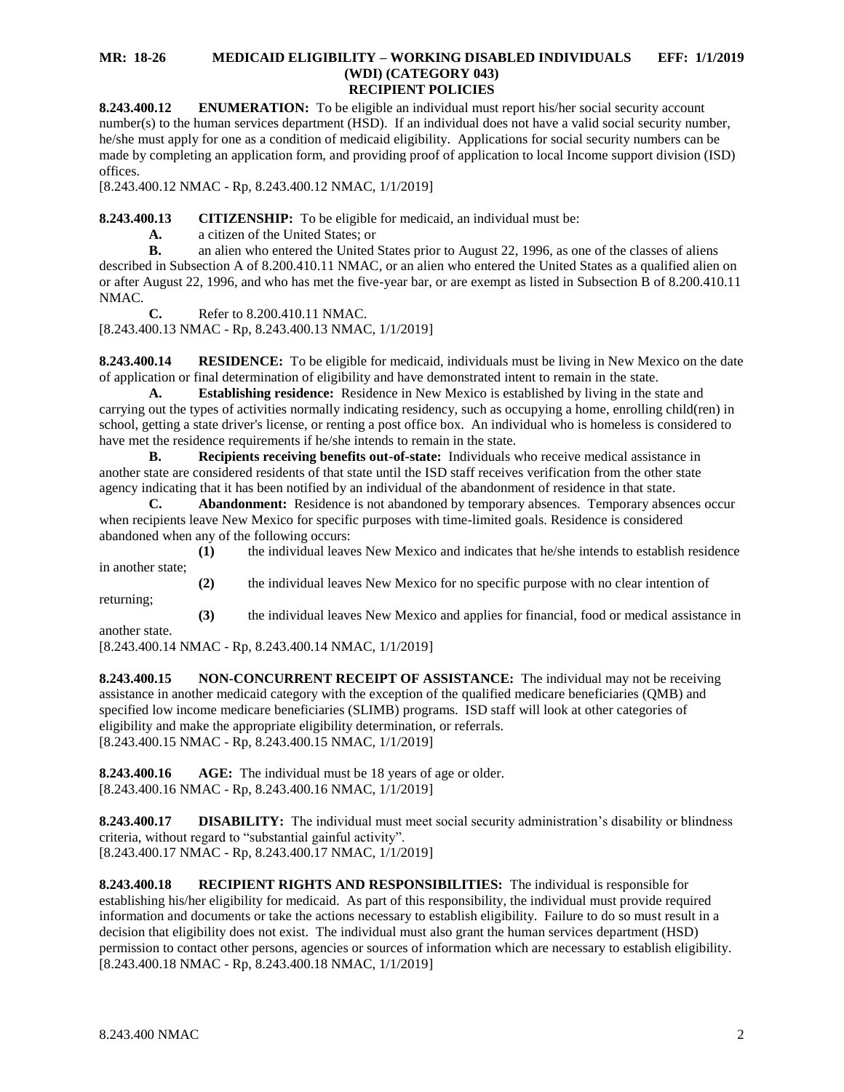### **MR: 18-26 MEDICAID ELIGIBILITY – WORKING DISABLED INDIVIDUALS EFF: 1/1/2019 (WDI) (CATEGORY 043) RECIPIENT POLICIES**

<span id="page-2-0"></span>**8.243.400.12 ENUMERATION:** To be eligible an individual must report his/her social security account number(s) to the human services department (HSD). If an individual does not have a valid social security number, he/she must apply for one as a condition of medicaid eligibility. Applications for social security numbers can be made by completing an application form, and providing proof of application to local Income support division (ISD) offices.

[8.243.400.12 NMAC - Rp, 8.243.400.12 NMAC, 1/1/2019]

<span id="page-2-1"></span>**8.243.400.13 CITIZENSHIP:** To be eligible for medicaid, an individual must be:

**A.** a citizen of the United States; or

**B.** an alien who entered the United States prior to August 22, 1996, as one of the classes of aliens described in Subsection A of 8.200.410.11 NMAC, or an alien who entered the United States as a qualified alien on or after August 22, 1996, and who has met the five-year bar, or are exempt as listed in Subsection B of 8.200.410.11 NMAC.

**C.** Refer to 8.200.410.11 NMAC. [8.243.400.13 NMAC - Rp, 8.243.400.13 NMAC, 1/1/2019]

<span id="page-2-2"></span>**8.243.400.14 RESIDENCE:** To be eligible for medicaid, individuals must be living in New Mexico on the date of application or final determination of eligibility and have demonstrated intent to remain in the state.

**A. Establishing residence:** Residence in New Mexico is established by living in the state and carrying out the types of activities normally indicating residency, such as occupying a home, enrolling child(ren) in school, getting a state driver's license, or renting a post office box. An individual who is homeless is considered to have met the residence requirements if he/she intends to remain in the state.

**B. Recipients receiving benefits out-of-state:** Individuals who receive medical assistance in another state are considered residents of that state until the ISD staff receives verification from the other state agency indicating that it has been notified by an individual of the abandonment of residence in that state.

**C. Abandonment:** Residence is not abandoned by temporary absences. Temporary absences occur when recipients leave New Mexico for specific purposes with time-limited goals. Residence is considered abandoned when any of the following occurs:

**(1)** the individual leaves New Mexico and indicates that he/she intends to establish residence in another state;

returning; **(3)** the individual leaves New Mexico and applies for financial, food or medical assistance in

**(2)** the individual leaves New Mexico for no specific purpose with no clear intention of

another state.

[8.243.400.14 NMAC - Rp, 8.243.400.14 NMAC, 1/1/2019]

<span id="page-2-3"></span>**8.243.400.15 NON-CONCURRENT RECEIPT OF ASSISTANCE:** The individual may not be receiving assistance in another medicaid category with the exception of the qualified medicare beneficiaries (QMB) and specified low income medicare beneficiaries (SLIMB) programs. ISD staff will look at other categories of eligibility and make the appropriate eligibility determination, or referrals. [8.243.400.15 NMAC - Rp, 8.243.400.15 NMAC, 1/1/2019]

<span id="page-2-4"></span>**8.243.400.16 AGE:** The individual must be 18 years of age or older. [8.243.400.16 NMAC - Rp, 8.243.400.16 NMAC, 1/1/2019]

<span id="page-2-5"></span>**8.243.400.17 DISABILITY:** The individual must meet social security administration's disability or blindness criteria, without regard to "substantial gainful activity". [8.243.400.17 NMAC - Rp, 8.243.400.17 NMAC, 1/1/2019]

<span id="page-2-6"></span>**8.243.400.18 RECIPIENT RIGHTS AND RESPONSIBILITIES:** The individual is responsible for establishing his/her eligibility for medicaid. As part of this responsibility, the individual must provide required information and documents or take the actions necessary to establish eligibility. Failure to do so must result in a decision that eligibility does not exist. The individual must also grant the human services department (HSD) permission to contact other persons, agencies or sources of information which are necessary to establish eligibility. [8.243.400.18 NMAC - Rp, 8.243.400.18 NMAC, 1/1/2019]